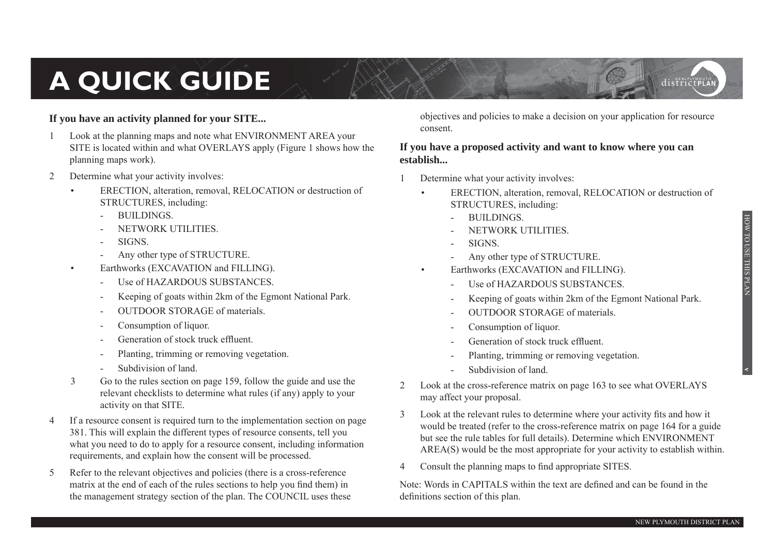# **A QUICK GUIDE**

#### **If you have an activity planned for your SITE...**

- Look at the planning maps and note what ENVIRONMENT AREA your SITE is located within and what OVERLAYS apply (Figure 1 shows how the planning maps work).
- 2 Determine what your activity involves:
	- ERECTION, alteration, removal, RELOCATION or destruction of STRUCTURES, including:
		- BUILDINGS.
		- NETWORK UTILITIES
		- SIGNS.
		- Any other type of STRUCTURE.
	- Earthworks (EXCAVATION and FILLING).
		- Use of HAZARDOUS SUBSTANCES.
		- Keeping of goats within 2km of the Egmont National Park.
		- OUTDOOR STORAGE of materials.
		- Consumption of liquor.
		- Generation of stock truck effluent.
		- Planting, trimming or removing vegetation.
		- Subdivision of land.
	- 3 Go to the rules section on page 159, follow the guide and use the relevant checklists to determine what rules (if any) apply to your activity on that SITE.
- 4 If a resource consent is required turn to the implementation section on page 381. This will explain the different types of resource consents, tell you what you need to do to apply for a resource consent, including information requirements, and explain how the consent will be processed.
- 5 Refer to the relevant objectives and policies (there is a cross-reference matrix at the end of each of the rules sections to help you find them) in the management strategy section of the plan. The COUNCIL uses these

objectives and policies to make a decision on your application for resource consent.

#### **If you have a proposed activity and want to know where you can establish...**

- 1 Determine what your activity involves:
	- ERECTION, alteration, removal, RELOCATION or destruction of STRUCTURES, including:
		- BUILDINGS.
		- NETWORK UTILITIES.
		- SIGNS.
		- Any other type of STRUCTURE.
	- Earthworks (EXCAVATION and FILLING).
		- Use of HAZARDOUS SUBSTANCES.
		- Keeping of goats within 2km of the Egmont National Park.
		- OUTDOOR STORAGE of materials.
		- Consumption of liquor.
		- Generation of stock truck effluent.
		- Planting, trimming or removing vegetation.
		- Subdivision of land.
- 2 Look at the cross-reference matrix on page 163 to see what OVERLAYS may affect your proposal.
- 3 Look at the relevant rules to determine where your activity fits and how it would be treated (refer to the cross-reference matrix on page 164 for a guide but see the rule tables for full details). Determine which ENVIRONMENT AREA(S) would be the most appropriate for your activity to establish within.
- 4 Consult the planning maps to find appropriate SITES.

Note: Words in CAPITALS within the text are defined and can be found in the definitions section of this plan.

**v**

districtPLA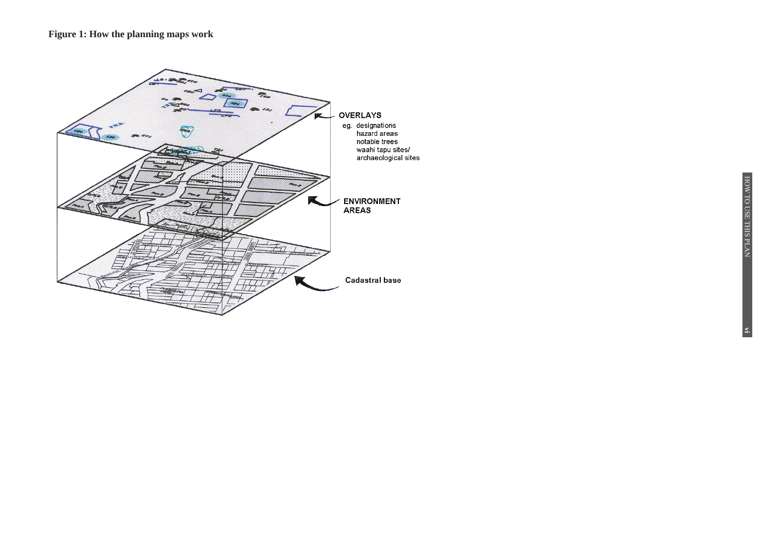#### Figure 1: How the planning maps work

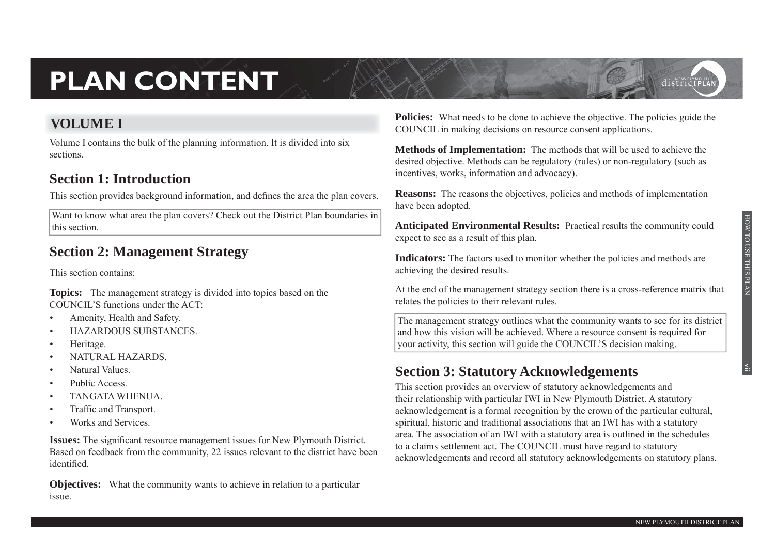# **PLAN CONTENT**

#### **VOLUME I**

Volume I contains the bulk of the planning information. It is divided into six sections.

#### **Section 1: Introduction**

This section provides background information, and defines the area the plan covers.

Want to know what area the plan covers? Check out the District Plan boundaries in this section.

## **Section 2: Management Strategy**

This section contains:

**Topics:** The management strategy is divided into topics based on the COUNCIL'S functions under the ACT:

- Amenity, Health and Safety.
- HAZARDOUS SUBSTANCES.
- Heritage.
- NATURAL HAZARDS.
- Natural Values.
- Public Access.
- TANGATA WHENUA.
- Traffic and Transport.
- Works and Services.

**Issues:** The significant resource management issues for New Plymouth District. Based on feedback from the community, 22 issues relevant to the district have been identified

**Objectives:** What the community wants to achieve in relation to a particular issue.

**Policies:** What needs to be done to achieve the objective. The policies guide the COUNCIL in making decisions on resource consent applications.

**Methods of Implementation:** The methods that will be used to achieve the desired objective. Methods can be regulatory (rules) or non-regulatory (such as incentives, works, information and advocacy).

**Reasons:** The reasons the objectives, policies and methods of implementation have been adopted.

**Anticipated Environmental Results:** Practical results the community could expect to see as a result of this plan.

**Indicators:** The factors used to monitor whether the policies and methods are achieving the desired results.

At the end of the management strategy section there is a cross-reference matrix that relates the policies to their relevant rules.

 The management strategy outlines what the community wants to see for its district and how this vision will be achieved. Where a resource consent is required for your activity, this section will guide the COUNCIL'S decision making.

## **Section 3: Statutory Acknowledgements**

This section provides an overview of statutory acknowledgements and their relationship with particular IWI in New Plymouth District. A statutory acknowledgement is a formal recognition by the crown of the particular cultural, spiritual, historic and traditional associations that an IWI has with a statutory area. The association of an IWI with a statutory area is outlined in the schedules to a claims settlement act. The COUNCIL must have regard to statutory acknowledgements and record all statutory acknowledgements on statutory plans.

districtPLA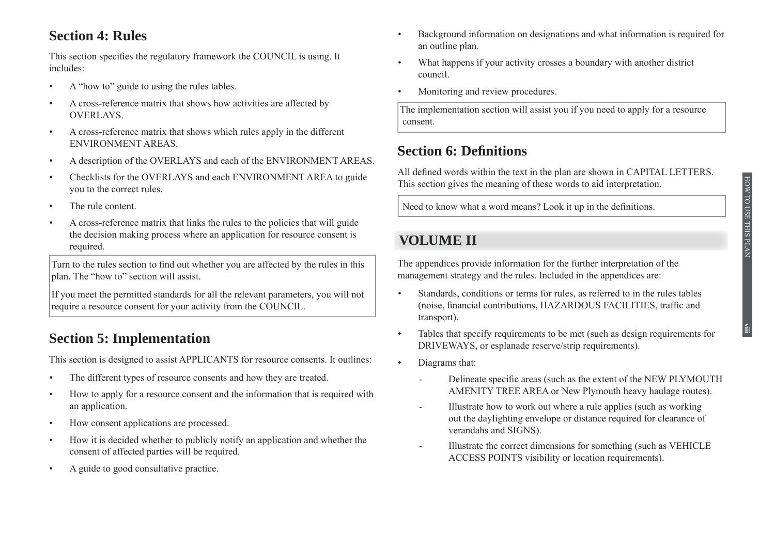### **Section 4: Rules**

This section specifies the regulatory framework the COUNCIL is using. It includes:

- A "how to" guide to using the rules tables.
- A cross-reference matrix that shows how activities are affected by OVERLAYS.
- A cross-reference matrix that shows which rules apply in the different ENVIRONMENT AREAS.
- A description of the OVERLAYS and each of the ENVIRONMENT AREAS.
- Checklists for the OVERLAYS and each ENVIRONMENT AREA to guide you to the correct rules.
- The rule content.
- A cross-reference matrix that links the rules to the policies that will guide the decision making process where an application for resource consent is required.

Turn to the rules section to find out whether you are affected by the rules in this plan. The "how to" section will assist.

 If you meet the permitted standards for all the relevant parameters, you will not require a resource consent for your activity from the COUNCIL.

## **Section 5: Implementation**

This section is designed to assist APPLICANTS for resource consents. It outlines:

- The different types of resource consents and how they are treated.
- How to apply for a resource consent and the information that is required with an application.
- How consent applications are processed.
- How it is decided whether to publicly notify an application and whether the consent of affected parties will be required.
- A guide to good consultative practice.
- Background information on designations and what information is required for an outline plan.
- What happens if your activity crosses a boundary with another district council.
- Monitoring and review procedures.

 The implementation section will assist you if you need to apply for a resource consent.

### **Section 6: Definitions**

All defined words within the text in the plan are shown in CAPITAL LETTERS. This section gives the meaning of these words to aid interpretation.

Need to know what a word means? Look it up in the definitions.

## **VOLUME II**

The appendices provide information for the further interpretation of the management strategy and the rules. Included in the appendices are:

- Standards, conditions or terms for rules, as referred to in the rules tables (noise, financial contributions, HAZARDOUS FACILITIES, traffic and transport).
- Tables that specify requirements to be met (such as design requirements for DRIVEWAYS, or esplanade reserve/strip requirements).
- Diagrams that:
	- Delineate specific areas (such as the extent of the NEW PLYMOUTH AMENITY TREE AREA or New Plymouth heavy haulage routes).
	- Illustrate how to work out where a rule applies (such as working out the daylighting envelope or distance required for clearance of verandahs and SIGNS).
	- Illustrate the correct dimensions for something (such as VEHICLE ACCESS POINTS visibility or location requirements).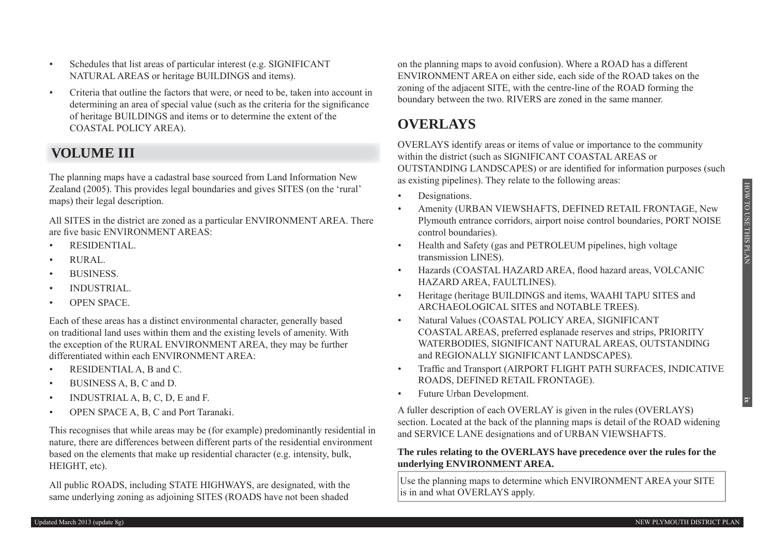**ix**

- Schedules that list areas of particular interest (e.g. SIGNIFICANT NATURAL AREAS or heritage BUILDINGS and items).
- Criteria that outline the factors that were, or need to be, taken into account in determining an area of special value (such as the criteria for the significance of heritage BUILDINGS and items or to determine the extent of the COASTAL POLICY AREA).

#### **VOLUMEIII**

The planning maps have a cadastral base sourced from Land Information New Zealand (2005). This provides legal boundaries and gives SITES (on the 'rural' maps) their legal description.

All SITES in the district are zoned as a particular ENVIRONMENT AREA. There are five basic ENVIRONMENT AREAS:

- RESIDENTIAL.
- RURAL.
- BUSINESS.
- INDUSTRIAL.
- OPEN SPACE.

Each of these areas has a distinct environmental character, generally based on traditional land uses within them and the existing levels of amenity. With the exception of the RURAL ENVIRONMENT AREA, they may be further differentiated within each ENVIRONMENT AREA:

- RESIDENTIAL A, B and C.
- BUSINESS A, B, C and D.
- INDUSTRIAL A, B, C, D, E and F.
- OPEN SPACE A, B, C and Port Taranaki.

This recognises that while areas may be (for example) predominantly residential in nature, there are differences between different parts of the residential environment based on the elements that make up residential character (e.g. intensity, bulk, HEIGHT, etc).

All public ROADS, including STATE HIGHWAYS, are designated, with the same underlying zoning as adjoining SITES (ROADS have not been shaded

on the planning maps to avoid confusion). Where a ROAD has a different ENVIRONMENT AREA on either side, each side of the ROAD takes on the zoning of the adjacent SITE, with the centre-line of the ROAD forming the boundary between the two. RIVERS are zoned in the same manner.

#### **OVERLAYS**

OVERLAYS identify areas or items of value or importance to the community within the district (such as SIGNIFICANT COASTAL AREAS or OUTSTANDING LANDSCAPES) or are identified for information purposes (such as existing pipelines). They relate to the following areas:

- Designations.
- Amenity (URBAN VIEWSHAFTS, DEFINED RETAIL FRONTAGE, New Plymouth entrance corridors, airport noise control boundaries, PORT NOISE control boundaries).
- Health and Safety (gas and PETROLEUM pipelines, high voltage transmission LINES).
- Hazards (COASTAL HAZARD AREA, flood hazard areas, VOLCANIC HAZARD AREA, FAULTLINES).
- Heritage (heritage BUILDINGS and items, WAAHI TAPU SITES and ARCHAEOLOGICAL SITES and NOTABLE TREES).
- Natural Values (COASTAL POLICY AREA, SIGNIFICANT COASTAL AREAS, preferred esplanade reserves and strips, PRIORITY WATERBODIES, SIGNIFICANT NATURAL AREAS, OUTSTANDING and REGIONALLY SIGNIFICANT LANDSCAPES).
- Traffic and Transport (AIRPORT FLIGHT PATH SURFACES, INDICATIVE ROADS, DEFINED RETAIL FRONTAGE).
- Future Urban Development.

A fuller description of each OVERLAY is given in the rules (OVERLAYS) section. Located at the back of the planning maps is detail of the ROAD widening and SERVICE LANE designations and of URBAN VIEWSHAFTS.

#### **The rules relating to the OVERLAYS have precedence over the rules for the underlying ENVIRONMENT AREA.**

 Use the planning maps to determine which ENVIRONMENT AREA your SITE is in and what OVERLAYS apply.